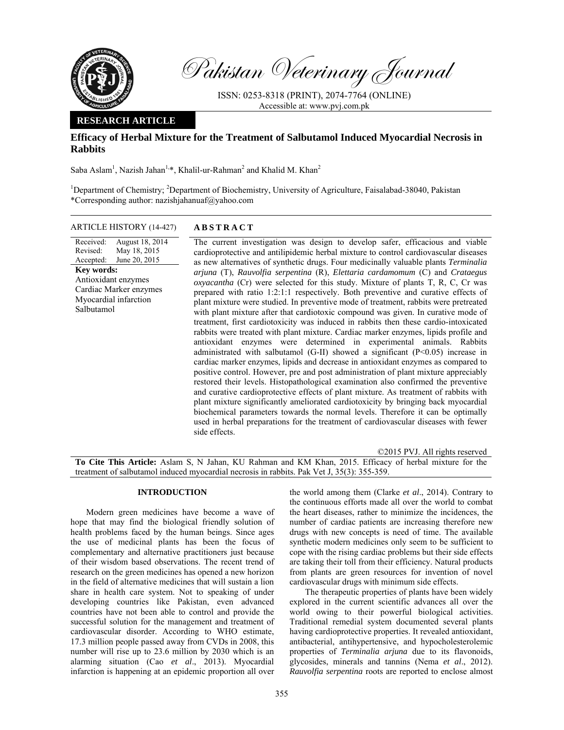

Pakistan Veterinary Journal

ISSN: 0253-8318 (PRINT), 2074-7764 (ONLINE) Accessible at: www.pvj.com.pk

## **RESEARCH ARTICLE**

# **Efficacy of Herbal Mixture for the Treatment of Salbutamol Induced Myocardial Necrosis in Rabbits**

Saba Aslam<sup>1</sup>, Nazish Jahan<sup>1,\*</sup>, Khalil-ur-Rahman<sup>2</sup> and Khalid M. Khan<sup>2</sup>

<sup>1</sup>Department of Chemistry; <sup>2</sup>Department of Biochemistry, University of Agriculture, Faisalabad-38040, Pakistan \*Corresponding author: nazishjahanuaf@yahoo.com

### ARTICLE HISTORY (14-427) **ABSTRACT**

Received: Revised: Accepted: August 18, 2014 May 18, 2015 June 20, 2015 **Key words:**  Antioxidant enzymes Cardiac Marker enzymes Myocardial infarction Salbutamol

 The current investigation was design to develop safer, efficacious and viable cardioprotective and antilipidemic herbal mixture to control cardiovascular diseases as new alternatives of synthetic drugs. Four medicinally valuable plants *Terminalia arjuna* (T), *Rauvolfia serpentina* (R), *Elettaria cardamomum* (C) and *Crataegus oxyacantha* (Cr) were selected for this study. Mixture of plants T, R, C, Cr was prepared with ratio 1:2:1:1 respectively. Both preventive and curative effects of plant mixture were studied. In preventive mode of treatment, rabbits were pretreated with plant mixture after that cardiotoxic compound was given. In curative mode of treatment, first cardiotoxicity was induced in rabbits then these cardio-intoxicated rabbits were treated with plant mixture. Cardiac marker enzymes, lipids profile and antioxidant enzymes were determined in experimental animals. Rabbits administrated with salbutamol (G-II) showed a significant  $(P<0.05)$  increase in cardiac marker enzymes, lipids and decrease in antioxidant enzymes as compared to positive control. However, pre and post administration of plant mixture appreciably restored their levels. Histopathological examination also confirmed the preventive and curative cardioprotective effects of plant mixture. As treatment of rabbits with plant mixture significantly ameliorated cardiotoxicity by bringing back myocardial biochemical parameters towards the normal levels. Therefore it can be optimally used in herbal preparations for the treatment of cardiovascular diseases with fewer side effects.

©2015 PVJ. All rights reserved **To Cite This Article:** Aslam S, N Jahan, KU Rahman and KM Khan, 2015. Efficacy of herbal mixture for the treatment of salbutamol induced myocardial necrosis in rabbits. Pak Vet J, 35(3): 355-359.

### **INTRODUCTION**

Modern green medicines have become a wave of hope that may find the biological friendly solution of health problems faced by the human beings. Since ages the use of medicinal plants has been the focus of complementary and alternative practitioners just because of their wisdom based observations. The recent trend of research on the green medicines has opened a new horizon in the field of alternative medicines that will sustain a lion share in health care system. Not to speaking of under developing countries like Pakistan, even advanced countries have not been able to control and provide the successful solution for the management and treatment of cardiovascular disorder. According to WHO estimate, 17.3 million people passed away from CVDs in 2008, this number will rise up to 23.6 million by 2030 which is an alarming situation (Cao *et al*., 2013). Myocardial infarction is happening at an epidemic proportion all over

the world among them (Clarke *et al*., 2014). Contrary to the continuous efforts made all over the world to combat the heart diseases, rather to minimize the incidences, the number of cardiac patients are increasing therefore new drugs with new concepts is need of time. The available synthetic modern medicines only seem to be sufficient to cope with the rising cardiac problems but their side effects are taking their toll from their efficiency. Natural products from plants are green resources for invention of novel cardiovascular drugs with minimum side effects.

The therapeutic properties of plants have been widely explored in the current scientific advances all over the world owing to their powerful biological activities. Traditional remedial system documented several plants having cardioprotective properties. It revealed antioxidant, antibacterial, antihypertensive, and hypocholesterolemic properties of *Terminalia arjuna* due to its flavonoids, glycosides, minerals and tannins (Nema *et al*., 2012). *Rauvolfia serpentina* roots are reported to enclose almost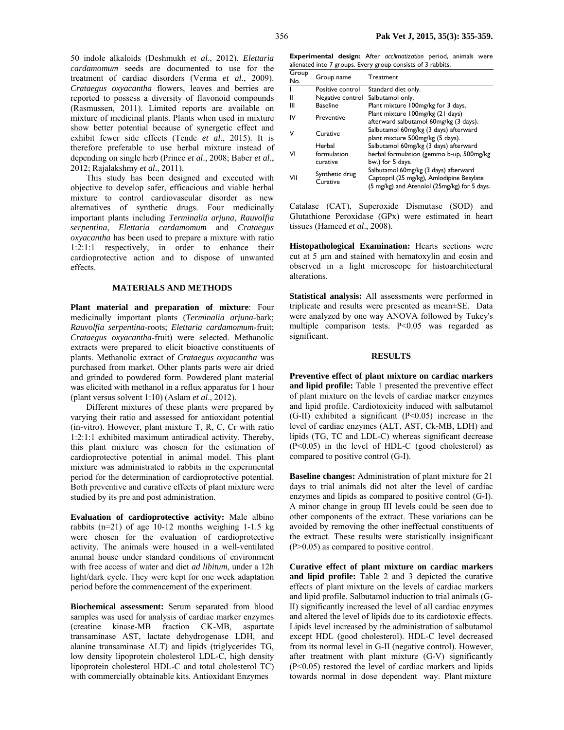50 indole alkaloids (Deshmukh *et al*., 2012). *Elettaria cardamomum* seeds are documented to use for the treatment of cardiac disorders (Verma *et al*., 2009). *Crataegus oxyacantha* flowers, leaves and berries are reported to possess a diversity of flavonoid compounds (Rasmussen, 2011). Limited reports are available on mixture of medicinal plants. Plants when used in mixture show better potential because of synergetic effect and exhibit fewer side effects (Tende *et al*., 2015). It is therefore preferable to use herbal mixture instead of depending on single herb (Prince *et al*., 2008; Baber *et al*., 2012; Rajalakshmy *et al*., 2011).

This study has been designed and executed with objective to develop safer, efficacious and viable herbal mixture to control cardiovascular disorder as new alternatives of synthetic drugs. Four medicinally important plants including *Terminalia arjuna*, *Rauvolfia serpentina*, *Elettaria cardamomum* and *Crataegus oxyacantha* has been used to prepare a mixture with ratio 1:2:1:1 respectively, in order to enhance their cardioprotective action and to dispose of unwanted effects.

#### **MATERIALS AND METHODS**

**Plant material and preparation of mixture**: Four medicinally important plants (*Terminalia arjuna-*bark; *Rauvolfia serpentina*-roots; *Elettaria cardamomum*-fruit; *Crataegus oxyacantha*-fruit) were selected. Methanolic extracts were prepared to elicit bioactive constituents of plants. Methanolic extract of *Crataegus oxyacantha* was purchased from market. Other plants parts were air dried and grinded to powdered form. Powdered plant material was elicited with methanol in a reflux apparatus for 1 hour (plant versus solvent 1:10) (Aslam *et al*., 2012).

Different mixtures of these plants were prepared by varying their ratio and assessed for antioxidant potential (in-vitro). However, plant mixture T, R, C, Cr with ratio 1:2:1:1 exhibited maximum antiradical activity. Thereby, this plant mixture was chosen for the estimation of cardioprotective potential in animal model. This plant mixture was administrated to rabbits in the experimental period for the determination of cardioprotective potential. Both preventive and curative effects of plant mixture were studied by its pre and post administration.

**Evaluation of cardioprotective activity:** Male albino rabbits (n=21) of age 10-12 months weighing 1-1.5 kg were chosen for the evaluation of cardioprotective activity. The animals were housed in a well-ventilated animal house under standard conditions of environment with free access of water and diet *ad libitum*, under a 12h light/dark cycle. They were kept for one week adaptation period before the commencement of the experiment.

**Biochemical assessment:** Serum separated from blood samples was used for analysis of cardiac marker enzymes (creatine kinase-MB fraction CK-MB, aspartate transaminase AST, lactate dehydrogenase LDH, and alanine transaminase ALT) and lipids (triglycerides TG, low density lipoprotein cholesterol LDL-C, high density lipoprotein cholesterol HDL-C and total cholesterol TC) with commercially obtainable kits. Antioxidant Enzymes

**Experimental design:** After *acclimatization* period, animals were alienated into 7 groups. Every group consists of 3 rabbits.

| Group<br>No. | Group name                 | Treatment                                                                                                                          |
|--------------|----------------------------|------------------------------------------------------------------------------------------------------------------------------------|
|              | Positive control           | Standard diet only.                                                                                                                |
| Ш            | Negative control           | Salbutamol only.                                                                                                                   |
| Ш            | <b>Baseline</b>            | Plant mixture 100mg/kg for 3 days.                                                                                                 |
| IV           | Preventive                 | Plant mixture 100mg/kg (21 days)<br>afterward salbutamol 60mg/kg (3 days).                                                         |
| v            | Curative                   | Salbutamol 60mg/kg (3 days) afterward<br>plant mixture 500mg/kg (5 days).                                                          |
|              | Herbal                     | Salbutamol 60mg/kg (3 days) afterward                                                                                              |
| VI           | formulation                | herbal formulation (gemmo b-up, 500mg/kg                                                                                           |
|              | curative                   | bw.) for 5 days.                                                                                                                   |
| VII          | Synthetic drug<br>Curative | Salbutamol 60mg/kg (3 days) afterward<br>Captopril (25 mg/kg), Amlodipine Besylate<br>(5 mg/kg) and Atenolol (25mg/kg) for 5 days. |

Catalase (CAT), Superoxide Dismutase (SOD) and Glutathione Peroxidase (GPx) were estimated in heart tissues (Hameed *et al*., 2008).

**Histopathological Examination:** Hearts sections were cut at 5 µm and stained with hematoxylin and eosin and observed in a light microscope for histoarchitectural alterations.

**Statistical analysis:** All assessments were performed in triplicate and results were presented as mean±SE. Data were analyzed by one way ANOVA followed by Tukey's multiple comparison tests. P<0.05 was regarded as significant.

#### **RESULTS**

**Preventive effect of plant mixture on cardiac markers and lipid profile:** Table 1 presented the preventive effect of plant mixture on the levels of cardiac marker enzymes and lipid profile. Cardiotoxicity induced with salbutamol  $(G-H)$  exhibited a significant  $(P<0.05)$  increase in the level of cardiac enzymes (ALT, AST, Ck-MB, LDH) and lipids (TG, TC and LDL-C) whereas significant decrease (P<0.05) in the level of HDL-C (good cholesterol) as compared to positive control (G-I).

**Baseline changes:** Administration of plant mixture for 21 days to trial animals did not alter the level of cardiac enzymes and lipids as compared to positive control (G-I). A minor change in group III levels could be seen due to other components of the extract. These variations can be avoided by removing the other ineffectual constituents of the extract. These results were statistically insignificant (P>0.05) as compared to positive control.

**Curative effect of plant mixture on cardiac markers and lipid profile:** Table 2 and 3 depicted the curative effects of plant mixture on the levels of cardiac markers and lipid profile. Salbutamol induction to trial animals (G-II) significantly increased the level of all cardiac enzymes and altered the level of lipids due to its cardiotoxic effects. Lipids level increased by the administration of salbutamol except HDL (good cholesterol). HDL-C level decreased from its normal level in G-II (negative control). However, after treatment with plant mixture (G-V) significantly (P<0.05) restored the level of cardiac markers and lipids towards normal in dose dependent way. Plant mixture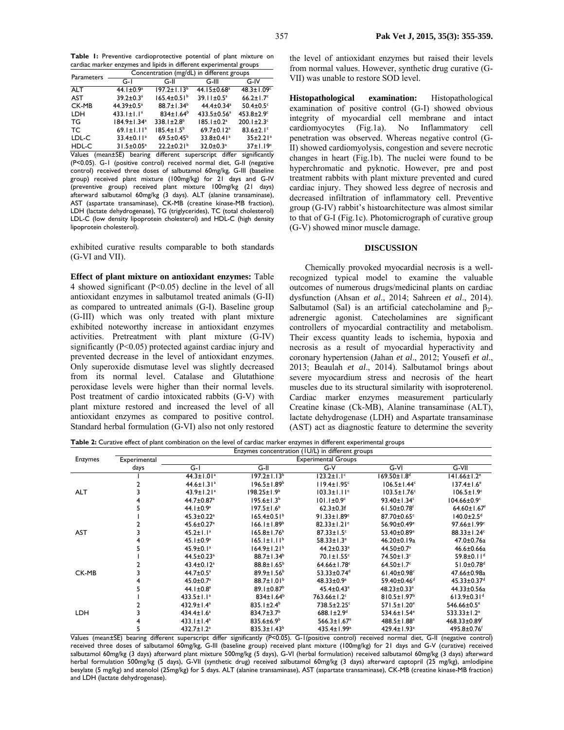**Table 1:** Preventive cardioprotective potential of plant mixture on cardiac marker enzymes and lipids in different experimental groups

| Parameters | Concentration (mg/dL) in different groups |                              |                              |                              |  |  |
|------------|-------------------------------------------|------------------------------|------------------------------|------------------------------|--|--|
|            | G-I                                       | G-II                         | G-III                        | G-IV                         |  |  |
| <b>ALT</b> | 44.1 $\pm$ 0.9 <sup>a</sup>               | $197.2 \pm 1.13^b$           | 44.15±0.68 <sup>a</sup>      | $48.3 \pm 1.09$ <sup>c</sup> |  |  |
| AST        | $39.2 \pm 0.3$ <sup>a</sup>               | $165.4 \pm 0.51^b$           | $39.11 \pm 0.5^a$            | $66.2 \pm 1.7$ °             |  |  |
| CK-MB      | $44.39 \pm 0.5^a$                         | $88.7 \pm 1.34^b$            | $44.4 \pm 0.34$ <sup>a</sup> | $50.4 \pm 0.5$ <sup>c</sup>  |  |  |
| <b>LDH</b> | $433.1 \pm 1.1^a$                         | $834 \pm 1.64^b$             | $433.5 \pm 0.56^a$           | $453.8 \pm 2.9$ <sup>c</sup> |  |  |
| TG         | 184.9±1.34 <sup>a</sup>                   | $338.1 \pm 2.8^b$            | $185.1 \pm 0.2$ <sup>a</sup> | $200.1 \pm 2.3$ <sup>c</sup> |  |  |
| TC.        | $69.1 \pm 1.11$ <sup>a</sup>              | $185.4 \pm 1.5^b$            | $69.7 \pm 0.12$ <sup>a</sup> | $83.6 \pm 2.1$               |  |  |
| LDL-C      | $33.4 \pm 0.11$ <sup>a</sup>              | $69.5 \pm 0.45^b$            | $33.8 \pm 0.41$ <sup>a</sup> | $35 \pm 2.21$ <sup>a</sup>   |  |  |
| HDL-C      | $31.5 \pm 0.05^a$                         | $22.2 \pm 0.21$ <sup>b</sup> | $32.0 \pm 0.3$ <sup>a</sup>  | $37 \pm 1.19^c$              |  |  |

Values (mean±SE) bearing different superscript differ significantly (P<0.05). G-1 (positive control) received normal diet, G-II (negative control) received three doses of salbutamol 60mg/kg, G-III (baseline group) received plant mixture (100mg/kg) for 21 days and G-IV (preventive group) received plant mixture 100mg/kg (21 days) afterward salbutamol 60mg/kg (3 days). ALT (alanine transaminase), AST (aspartate transaminase), CK-MB (creatine kinase-MB fraction), LDH (lactate dehydrogenase), TG (triglycerides), TC (total cholesterol) LDL-C (low density lipoprotein cholesterol) and HDL-C (high density lipoprotein cholesterol).

exhibited curative results comparable to both standards (G-VI and VII).

**Effect of plant mixture on antioxidant enzymes:** Table 4 showed significant (P<0.05) decline in the level of all antioxidant enzymes in salbutamol treated animals (G-II) as compared to untreated animals (G-I). Baseline group (G-III) which was only treated with plant mixture exhibited noteworthy increase in antioxidant enzymes activities. Pretreatment with plant mixture (G-IV) significantly (P<0.05) protected against cardiac injury and prevented decrease in the level of antioxidant enzymes. Only superoxide dismutase level was slightly decreased from its normal level. Catalase and Glutathione peroxidase levels were higher than their normal levels. Post treatment of cardio intoxicated rabbits (G-V) with plant mixture restored and increased the level of all antioxidant enzymes as compared to positive control. Standard herbal formulation (G-VI) also not only restored the level of antioxidant enzymes but raised their levels from normal values. However, synthetic drug curative (G-VII) was unable to restore SOD level.

**Histopathological examination:** Histopathological examination of positive control (G-I) showed obvious integrity of myocardial cell membrane and intact cardiomyocytes (Fig.1a). No Inflammatory cell penetration was observed. Whereas negative control (G-II) showed cardiomyolysis, congestion and severe necrotic changes in heart (Fig.1b). The nuclei were found to be hyperchromatic and pyknotic. However, pre and post treatment rabbits with plant mixture prevented and cured cardiac injury. They showed less degree of necrosis and decreased infiltration of inflammatory cell. Preventive group (G-IV) rabbit's histoarchitecture was almost similar to that of G-I (Fig.1c). Photomicrograph of curative group (G-V) showed minor muscle damage.

### **DISCUSSION**

Chemically provoked myocardial necrosis is a wellrecognized typical model to examine the valuable outcomes of numerous drugs/medicinal plants on cardiac dysfunction (Ahsan *et al*., 2014; Sahreen *et al*., 2014). Salbutamol (Sal) is an artificial catecholamine and  $\beta_2$ adrenergic agonist. Catecholamines are significant controllers of myocardial contractility and metabolism. Their excess quantity leads to ischemia, hypoxia and necrosis as a result of myocardial hyperactivity and coronary hypertension (Jahan *et al*., 2012; Yousefi *et al*., 2013; Beaulah *et al*., 2014). Salbutamol brings about severe myocardium stress and necrosis of the heart muscles due to its structural similarity with isoproterenol. Cardiac marker enzymes measurement particularly Creatine kinase (Ck-MB), Alanine transaminase (ALT), lactate dehydrogenase (LDH) and Aspartate transaminase (AST) act as diagnostic feature to determine the severity

**Table 2:** Curative effect of plant combination on the level of cardiac marker enzymes in different experimental groups

|                |              | Enzymes concentration (IU/L) in different groups |                               |                               |                                |                                |
|----------------|--------------|--------------------------------------------------|-------------------------------|-------------------------------|--------------------------------|--------------------------------|
| <b>Enzymes</b> | Experimental |                                                  |                               | <b>Experimental Groups</b>    |                                |                                |
|                | days         | G-I                                              | G-II                          | $G-V$                         | G-VI                           | $G-VIII$                       |
|                |              | $44.3 \pm 1.01$ <sup>a</sup>                     | $197.2 \pm 1.13^b$            | $123.2 \pm 1.1^{\circ}$       | $169.50 \pm 1.8$ <sup>d</sup>  | $141.66 \pm 1.2$ <sup>e</sup>  |
|                |              | $44.6 \pm 1.31$ <sup>a</sup>                     | $196.5 \pm 1.89^b$            | $119.4 \pm 1.95$ <sup>c</sup> | $106.5 \pm 1.44$ <sup>c</sup>  | $137.4 \pm 1.6^{\circ}$        |
| <b>ALT</b>     |              | $43.9 \pm 1.21$ <sup>a</sup>                     | $198.25 \pm 1.9^b$            | $103.3 \pm 1.11$ <sup>c</sup> | $103.5 \pm 1.76$ <sup>c</sup>  | $106.5 \pm 1.9^{\circ}$        |
|                |              | 44.7±0.87 <sup>a</sup>                           | $195.6 \pm 1.3^{b}$           | $101.1 \pm 0.9^{\circ}$       | 93.40 $\pm$ 1.34 $\textdegree$ | $104.66 \pm 0.9^{\circ}$       |
|                |              | 44.1 $\pm$ 0.9 <sup>a</sup>                      | $197.5 \pm 1.6^b$             | $62.3 \pm 0.3$ f              | $61.50 \pm 0.78$ <sup>f</sup>  | $64.60 \pm 1.67$ <sup>f</sup>  |
|                |              | $45.3 \pm 0.22$ <sup>a</sup>                     | $165.4 \pm 0.51$ <sup>b</sup> | $91.33 \pm 1.89$ <sup>c</sup> | 87.70±0.65°                    | $140.0 \pm 2.5$ <sup>d</sup>   |
|                |              | $45.6 \pm 0.27$ <sup>a</sup>                     | $166.1 \pm 1.89^b$            | $82.33 \pm 1.21$ °            | $56.90 \pm 0.49$ <sup>e</sup>  | $97.66 \pm 1.99$ <sup>c</sup>  |
| <b>AST</b>     |              | $45.2 \pm 1.1^a$                                 | $165.8 \pm 1.76^b$            | $87.33 \pm 1.5$ °             | 53.40±0.89 <sup>e</sup>        | 88.33±1.24°                    |
|                |              | $45.1 \pm 0.9^a$                                 | $165.1 \pm 1.11^b$            | $58.33 \pm 1.3^e$             | 46.20±0.19a                    | 47.0±0.76a                     |
|                |              | $45.9 \pm 0.1^a$                                 | $164.9 \pm 1.21^b$            | $44.2 \pm 0.33$ <sup>a</sup>  | $44.50 \pm 0.7^{\circ}$        | $46.6 \pm 0.66a$               |
|                |              | $44.5 \pm 0.23$ <sup>a</sup>                     | $88.7 \pm 1.34^b$             | $70.1 \pm 1.55$ <sup>c</sup>  | $74.50 \pm 1.3$ <sup>c</sup>   | 59.8±0.1 $1d$                  |
|                |              | $43.4 \pm 0.12$ <sup>a</sup>                     | $88.8 \pm 1.65^{\circ}$       | $64.66 \pm 1.78$ <sup>c</sup> | $64.50 \pm 1.7$ °              | $51.0 \pm 0.78$ <sup>d</sup>   |
| CK-MB          |              | $44.7 \pm 0.5^{\text{a}}$                        | $89.9 \pm 1.56^{\circ}$       | 53.33±0.74 <sup>d</sup>       | $61.40 \pm 0.98$ <sup>c</sup>  | 47.66±0.98a                    |
|                |              | $45.0 \pm 0.7$ <sup>a</sup>                      | $88.7 \pm 1.01^b$             | $48.33 \pm 0.9^a$             | 59.40 $\pm$ 0.46 <sup>d</sup>  | $45.33 \pm 0.37$ <sup>d</sup>  |
|                |              | 44.1 $\pm$ 0.8 <sup>a</sup>                      | $89.1 \pm 0.87^{\circ}$       | $45.4 \pm 0.43$ <sup>a</sup>  | $48.23 \pm 0.33$ <sup>a</sup>  | $44.33 \pm 0.56a$              |
|                |              | $433.5 \pm 1.1^a$                                | $834 \pm 1.64^b$              | 763.66±1.2 <sup>c</sup>       | $810.5 \pm 1.97$ <sup>b</sup>  | $613.9 \pm 0.31$ <sup>d</sup>  |
|                |              | $432.9 \pm 1.4^a$                                | $835.1 \pm 2.4^b$             | 738.5±2.25°                   | $571.5 \pm 1.20^{\circ}$       | 546.66±0.5 <sup>e</sup>        |
| <b>LDH</b>     |              | $434.4 \pm 1.6^a$                                | $834.7 \pm 3.7$ <sup>b</sup>  | $688.1 \pm 2.9$ <sup>d</sup>  | 534.6±1.54 <sup>e</sup>        | $533.33 \pm 1.2$ <sup>e</sup>  |
|                |              | $433.1 \pm 1.4^a$                                | $835.6 \pm 6.9^b$             | $566.3 \pm 1.67$ <sup>e</sup> | 488.5±1.88 <sup>a</sup>        | $468.33 \pm 0.89$ <sup>f</sup> |
|                |              | $432.7 \pm 1.2^a$                                | $835.3 \pm 1.43^b$            | 435.4±1.99 <sup>a</sup>       | 429.4±1.93 <sup>a</sup>        | 495.8±0.76 <sup>f</sup>        |

Values (mean±SE) bearing different superscript differ significantly (P<0.05). G-1(positive control) received normal diet, G-II (negative control) received three doses of salbutamol 60mg/kg, G-III (baseline group) received plant mixture (100mg/kg) for 21 days and G-V (curative) received salbutamol 60mg/kg (3 days) afterward plant mixture 500mg/kg (5 days), G-VI (herbal formulation) received salbutamol 60mg/kg (3 days) afterward herbal formulation 500mg/kg (5 days), G-VII (synthetic drug) received salbutamol 60mg/kg (3 days) afterward captopril (25 mg/kg), amlodipine besylate (5 mg/kg) and atenolol (25mg/kg) for 5 days. ALT (alanine transaminase), AST (aspartate transaminase), CK-MB (creatine kinase-MB fraction) and LDH (lactate dehydrogenase).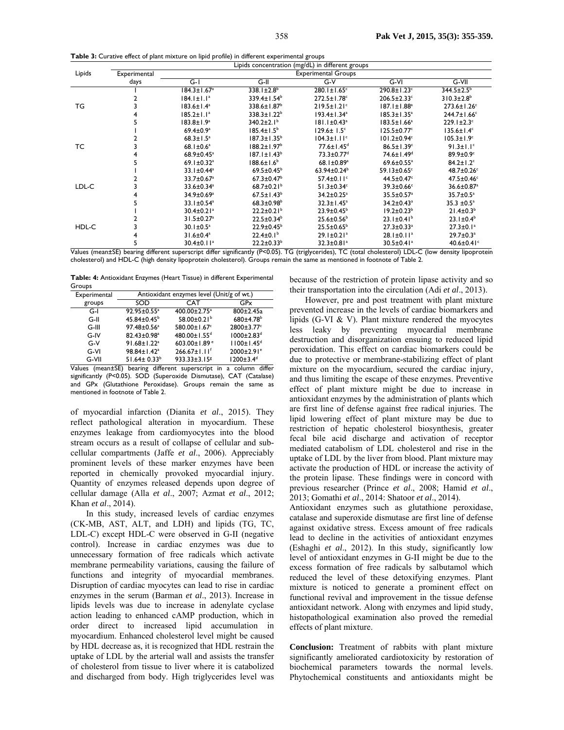**Table 3:** Curative effect of plant mixture on lipid profile) in different experimental groups

|        |              | Lipids concentration (mg/dL) in different groups |                               |                               |                               |                               |
|--------|--------------|--------------------------------------------------|-------------------------------|-------------------------------|-------------------------------|-------------------------------|
| Lipids | Experimental |                                                  |                               | <b>Experimental Groups</b>    |                               |                               |
|        | days         | $G-I$                                            | $G-H$                         | $G-V$                         | $G-N$                         | $G-VII$                       |
|        |              | $184.3 \pm 1.67$ <sup>a</sup>                    | $338.1 \pm 2.8^b$             | $280.1 \pm 1.65$ <sup>c</sup> | 290.8±1.23°                   | $344.5 \pm 2.5^{\circ}$       |
| TG     |              | $184.1 \pm 1.1^a$                                | $339.4 \pm 1.54^b$            | $272.5 \pm 1.78$ <sup>c</sup> | $206.5 \pm 2.33$ <sup>c</sup> | $310.3 \pm 2.8$ <sup>b</sup>  |
|        |              | $183.6 \pm 1.4^a$                                | 338.6±1.87 <sup>b</sup>       | $219.5 \pm 1.21$ <sup>c</sup> | $187.1 \pm 1.88^a$            | $273.6 \pm 1.26$ <sup>c</sup> |
|        |              | $185.2 \pm 1.1^a$                                | $338.3 \pm 1.22^b$            | $193.4 \pm 1.34^a$            | $185.3 \pm 1.35^a$            | $244.7 \pm 1.66$ <sup>c</sup> |
|        |              | $183.8 \pm 1.9^a$                                | $340.2 \pm 2.1^{\circ}$       | $181.1 \pm 0.43^a$            | $183.5 \pm 1.66^a$            | $229.1 \pm 2.3$ c             |
| ТC     |              | $69.4 \pm 0.9$ <sup>a</sup>                      | $185.4 \pm 1.5^{\circ}$       | $129.6 \pm 1.5$ <sup>c</sup>  | $125.5 \pm 0.77$ <sup>c</sup> | $135.6 \pm 1.4^c$             |
|        |              | $68.3 \pm 1.5^a$                                 | $187.3 \pm 1.35^{\circ}$      | $104.3 \pm 1.11$ <sup>c</sup> | $101.2 \pm 0.94$ <sup>c</sup> | $105.3 \pm 1.9^{\circ}$       |
|        |              | $68.1 \pm 0.6^a$                                 | $188.2 \pm 1.97$ <sup>b</sup> | $77.6 \pm 1.45$ <sup>d</sup>  | $86.5 \pm 1.39$ <sup>c</sup>  | $91.3 \pm 1.1$ <sup>c</sup>   |
|        |              | $68.9 \pm 0.45$ <sup>a</sup>                     | $187.1 \pm 1.43^b$            | 73.3±0.77 <sup>d</sup>        | 74.6±1.49 <sup>d</sup>        | $89.9 \pm 0.9$ <sup>c</sup>   |
|        |              | $69.1 \pm 0.32$ <sup>a</sup>                     | $188.6 \pm 1.6^b$             | 68.1 $\pm$ 0.89 <sup>a</sup>  | $69.6 \pm 0.55$ <sup>a</sup>  | $84.2 \pm 1.2$ <sup>c</sup>   |
| LDL-C  |              | $33.1 \pm 0.44^a$                                | $69.5 \pm 0.45^{\circ}$       | $63.94 \pm 0.24^b$            | 59.13±0.65 $\textdegree$      | 48.7±0.26c                    |
|        |              | $33.7 \pm 0.67$ <sup>a</sup>                     | $67.3 \pm 0.47$ <sup>b</sup>  | $57.4 \pm 0.11$ <sup>c</sup>  | $44.5 \pm 0.47$               | $47.5 \pm 0.46$               |
|        |              | $33.6 \pm 0.34$ <sup>a</sup>                     | 68.7 $\pm$ 0.21 <sup>b</sup>  | $51.3 \pm 0.34$ <sup>c</sup>  | $39.3 \pm 0.66$ <sup>c</sup>  | 36.6±0.87 <sup>a</sup>        |
|        |              | $34.9 \pm 0.69^{\circ}$                          | $67.5 \pm 1.43^b$             | $34.2 \pm 0.25$ <sup>a</sup>  | $35.5 \pm 0.57$ <sup>a</sup>  | $35.7 \pm 0.5^{\circ}$        |
|        |              | $33.1 \pm 0.54$ <sup>a</sup>                     | $68.3 \pm 0.98$ <sup>b</sup>  | $32.3 \pm 1.45^a$             | $34.2 \pm 0.43$ <sup>a</sup>  | $35.3 \pm 0.5^{\circ}$        |
| HDL-C  |              | $30.4 \pm 0.21$ <sup>a</sup>                     | $22.2 \pm 0.21$ <sup>b</sup>  | $23.9 \pm 0.45^{\circ}$       | $19.2 \pm 0.23^b$             | $21.4 \pm 0.3^b$              |
|        |              | $31.5 \pm 0.27$ <sup>a</sup>                     | $22.5 \pm 0.34^b$             | $25.6 \pm 0.56^{\circ}$       | $23.1 \pm 0.41^b$             | $23.1 \pm 0.4^b$              |
|        |              | $30.1 \pm 0.5^a$                                 | $22.9 \pm 0.45^{\circ}$       | $25.5 \pm 0.65^{\circ}$       | $27.3 \pm 0.33$ <sup>a</sup>  | $27.3 \pm 0.1^a$              |
|        |              | $31.6 \pm 0.4^a$                                 | $22.4 \pm 0.1^b$              | $29.1 \pm 0.21$ <sup>a</sup>  | $28.1 \pm 0.11$ <sup>a</sup>  | $29.7 \pm 0.3^a$              |
|        |              | $30.4 \pm 0.11$ <sup>a</sup>                     | $22.2 \pm 0.33^b$             | $32.3 \pm 0.81$ <sup>a</sup>  | $30.5 \pm 0.41$ <sup>a</sup>  | 40.6 $\pm$ 0.41 $\degree$     |

Values (mean±SE) bearing different superscript differ significantly (P<0.05). TG (triglycerides), TC (total cholesterol) LDL-C (low density lipoprotein cholesterol) and HDL-C (high density lipoprotein cholesterol). Groups remain the same as mentioned in footnote of Table 2.

**Table: 4:** Antioxidant Enzymes (Heart Tissue) in different Experimental Groups

| Experimental | Antioxidant enzymes level (Unit/g of wt.) |                                |                              |  |  |
|--------------|-------------------------------------------|--------------------------------|------------------------------|--|--|
| groups       | SOD                                       | <b>CAT</b>                     | GPx                          |  |  |
| G-l          | $92.95 \pm 0.55^a$                        | 400.00±2.75 <sup>a</sup>       | $800 \pm 2.45a$              |  |  |
| $G-II$       | $45.84 \pm 0.45^{\circ}$                  | 58.00 $\pm$ 0.21 <sup>b</sup>  | $680 \pm 4.78$ <sup>b</sup>  |  |  |
| $G-HI$       | 97.48±0.56 <sup>a</sup>                   | 580.00±1.67c                   | 2800±3.77c                   |  |  |
| $G-IV$       | 82.43±0.98 <sup>a</sup>                   | 480.00±1.55 <sup>d</sup>       | $1000 \pm 2.83$ <sup>d</sup> |  |  |
| $G-V$        | $91.68 \pm 1.22$ <sup>a</sup>             | 603.00±1.89 <sup>e</sup>       | $1100 \pm 1.45$ <sup>d</sup> |  |  |
| G-VI         | 98.84±1.42 <sup>a</sup>                   | $266.67 \pm 1.11$ <sup>f</sup> | $2000 \pm 2.91$ <sup>e</sup> |  |  |
| G-VII        | $51.64 \pm 0.33^{b}$                      | 933.33±3.15 <sup>g</sup>       | $1200 \pm 3.4$ <sup>d</sup>  |  |  |

Values (mean±SE) bearing different superscript in a column differ significantly (P<0.05). SOD (Superoxide Dismutase), CAT (Catalase) and GPx (Glutathione Peroxidase). Groups remain the same as mentioned in footnote of Table 2.

of myocardial infarction (Dianita *et al*., 2015). They reflect pathological alteration in myocardium. These enzymes leakage from cardiomyocytes into the blood stream occurs as a result of collapse of cellular and subcellular compartments (Jaffe *et al*., 2006). Appreciably prominent levels of these marker enzymes have been reported in chemically provoked myocardial injury. Quantity of enzymes released depends upon degree of cellular damage (Alla *et al*., 2007; Azmat *et al*., 2012; Khan *et al*., 2014).

In this study, increased levels of cardiac enzymes (CK-MB, AST, ALT, and LDH) and lipids (TG, TC, LDL-C) except HDL-C were observed in G-II (negative control). Increase in cardiac enzymes was due to unnecessary formation of free radicals which activate membrane permeability variations, causing the failure of functions and integrity of myocardial membranes. Disruption of cardiac myocytes can lead to rise in cardiac enzymes in the serum (Barman *et al*., 2013). Increase in lipids levels was due to increase in adenylate cyclase action leading to enhanced cAMP production, which in order direct to increased lipid accumulation in myocardium. Enhanced cholesterol level might be caused by HDL decrease as, it is recognized that HDL restrain the uptake of LDL by the arterial wall and assists the transfer of cholesterol from tissue to liver where it is catabolized and discharged from body. High triglycerides level was

because of the restriction of protein lipase activity and so their transportation into the circulation (Adi *et al*., 2013).

However, pre and post treatment with plant mixture prevented increase in the levels of cardiac biomarkers and lipids (G-VI & V). Plant mixture rendered the myocytes less leaky by preventing myocardial membrane destruction and disorganization ensuing to reduced lipid peroxidation. This effect on cardiac biomarkers could be due to protective or membrane-stabilizing effect of plant mixture on the myocardium, secured the cardiac injury, and thus limiting the escape of these enzymes. Preventive effect of plant mixture might be due to increase in antioxidant enzymes by the administration of plants which are first line of defense against free radical injuries. The lipid lowering effect of plant mixture may be due to restriction of hepatic cholesterol biosynthesis, greater fecal bile acid discharge and activation of receptor mediated catabolism of LDL cholesterol and rise in the uptake of LDL by the liver from blood. Plant mixture may activate the production of HDL or increase the activity of the protein lipase. These findings were in concord with previous researcher (Prince *et al*., 2008; Hamid *et al*., 2013; Gomathi *et al*., 2014: Shatoor *et al*., 2014).

Antioxidant enzymes such as glutathione peroxidase, catalase and superoxide dismutase are first line of defense against oxidative stress. Excess amount of free radicals lead to decline in the activities of antioxidant enzymes (Eshaghi *et al*., 2012). In this study, significantly low level of antioxidant enzymes in G-II might be due to the excess formation of free radicals by salbutamol which reduced the level of these detoxifying enzymes. Plant mixture is noticed to generate a prominent effect on functional revival and improvement in the tissue defense antioxidant network. Along with enzymes and lipid study, histopathological examination also proved the remedial effects of plant mixture.

**Conclusion:** Treatment of rabbits with plant mixture significantly ameliorated cardiotoxicity by restoration of biochemical parameters towards the normal levels. Phytochemical constituents and antioxidants might be